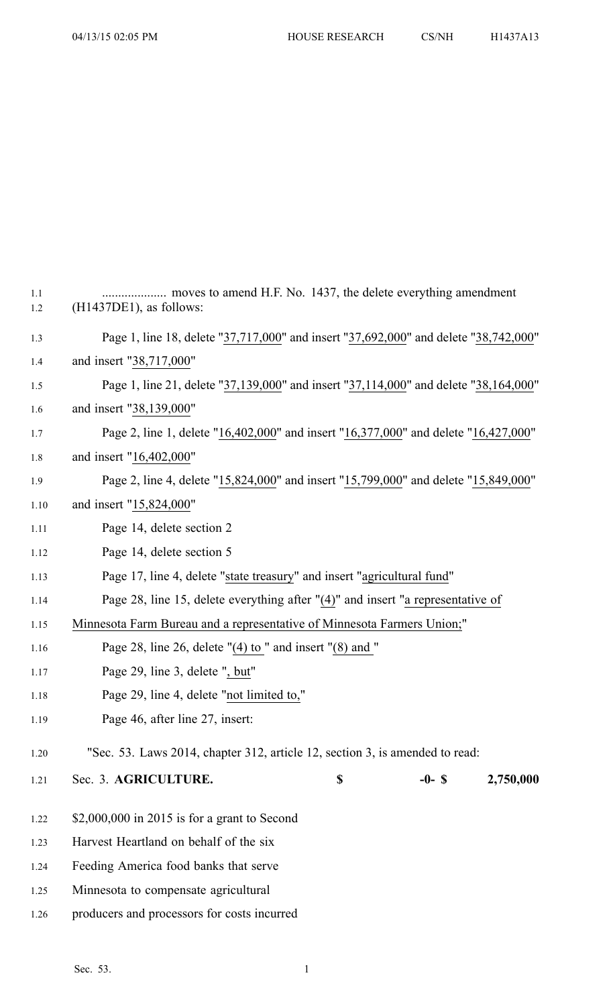| $1.1\,$<br>1.2 | $(H1437DE1)$ , as follows:                                                           |    |          |           |  |
|----------------|--------------------------------------------------------------------------------------|----|----------|-----------|--|
| 1.3            | Page 1, line 18, delete "37,717,000" and insert "37,692,000" and delete "38,742,000" |    |          |           |  |
| 1.4            | and insert "38,717,000"                                                              |    |          |           |  |
| 1.5            | Page 1, line 21, delete "37,139,000" and insert "37,114,000" and delete "38,164,000" |    |          |           |  |
| 1.6            | and insert "38,139,000"                                                              |    |          |           |  |
| 1.7            | Page 2, line 1, delete "16,402,000" and insert "16,377,000" and delete "16,427,000"  |    |          |           |  |
| 1.8            | and insert "16,402,000"                                                              |    |          |           |  |
| 1.9            | Page 2, line 4, delete "15,824,000" and insert "15,799,000" and delete "15,849,000"  |    |          |           |  |
| 1.10           | and insert "15,824,000"                                                              |    |          |           |  |
| 1.11           | Page 14, delete section 2                                                            |    |          |           |  |
| 1.12           | Page 14, delete section 5                                                            |    |          |           |  |
| 1.13           | Page 17, line 4, delete "state treasury" and insert "agricultural fund"              |    |          |           |  |
| 1.14           | Page 28, line 15, delete everything after "(4)" and insert "a representative of      |    |          |           |  |
| 1.15           | Minnesota Farm Bureau and a representative of Minnesota Farmers Union;"              |    |          |           |  |
| 1.16           | Page 28, line 26, delete $''(4)$ to " and insert $''(8)$ and "                       |    |          |           |  |
| 1.17           | Page 29, line 3, delete ", but"                                                      |    |          |           |  |
| 1.18           | Page 29, line 4, delete "not limited to,"                                            |    |          |           |  |
| 1.19           | Page 46, after line 27, insert:                                                      |    |          |           |  |
| 1.20           | "Sec. 53. Laws 2014, chapter 312, article 12, section 3, is amended to read:         |    |          |           |  |
| 1.21           | Sec. 3. AGRICULTURE.                                                                 | \$ | $-0-$ \$ | 2,750,000 |  |
| 1.22           | $$2,000,000$ in 2015 is for a grant to Second                                        |    |          |           |  |
| 1.23           | Harvest Heartland on behalf of the six                                               |    |          |           |  |
| 1.24           | Feeding America food banks that serve                                                |    |          |           |  |
| 1.25           | Minnesota to compensate agricultural                                                 |    |          |           |  |
| 1.26           | producers and processors for costs incurred                                          |    |          |           |  |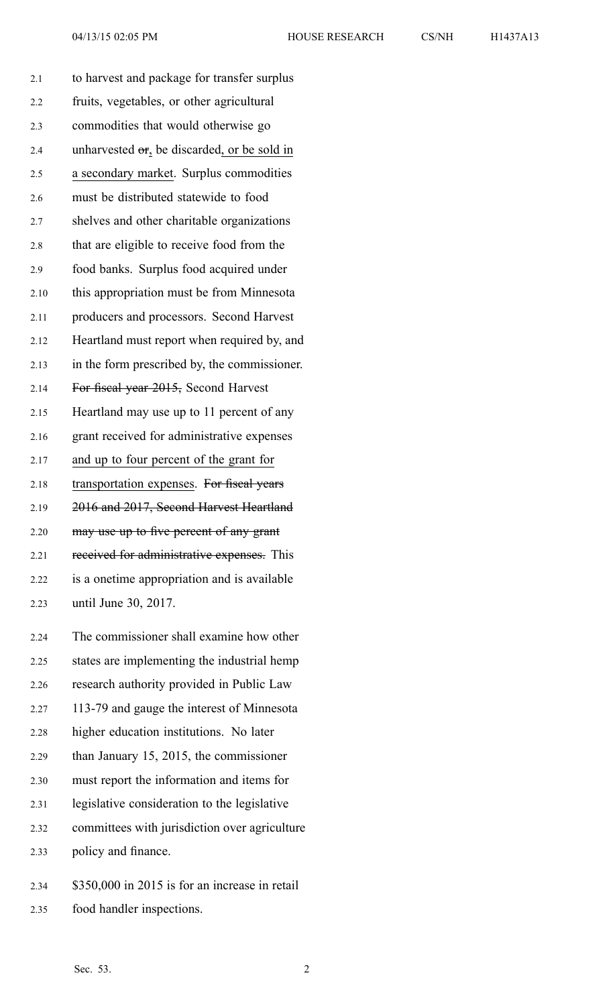| 2.1  | to harvest and package for transfer surplus  |
|------|----------------------------------------------|
| 2.2  | fruits, vegetables, or other agricultural    |
| 2.3  | commodities that would otherwise go          |
| 2.4  | unharvested or, be discarded, or be sold in  |
| 2.5  | a secondary market. Surplus commodities      |
| 2.6  | must be distributed statewide to food        |
| 2.7  | shelves and other charitable organizations   |
| 2.8  | that are eligible to receive food from the   |
| 2.9  | food banks. Surplus food acquired under      |
| 2.10 | this appropriation must be from Minnesota    |
| 2.11 | producers and processors. Second Harvest     |
| 2.12 | Heartland must report when required by, and  |
| 2.13 | in the form prescribed by, the commissioner. |
| 2.14 | For fiscal year 2015, Second Harvest         |
| 2.15 | Heartland may use up to 11 percent of any    |
| 2.16 | grant received for administrative expenses   |
| 2.17 | and up to four percent of the grant for      |
| 2.18 | transportation expenses. For fiseal years    |
| 2.19 | 2016 and 2017, Second Harvest Heartland      |
| 2.20 | may use up to five percent of any grant      |
| 2.21 | received for administrative expenses. This   |
| 2.22 | is a onetime appropriation and is available  |
| 2.23 | until June 30, 2017.                         |
| 2.24 | The commissioner shall examine how other     |
| 2.25 | states are implementing the industrial hemp  |
| 2.26 | research authority provided in Public Law    |
| 2.27 | 113-79 and gauge the interest of Minnesota   |
| 2.28 | higher education institutions. No later      |
| 2.29 | than January 15, 2015, the commissioner      |

- 2.30 must repor<sup>t</sup> the information and items for
- 2.31 legislative consideration to the legislative
- 2.32 committees with jurisdiction over agriculture
- 2.33 policy and finance.
- 2.34 \$350,000 in 2015 is for an increase in retail
- 2.35 food handler inspections.